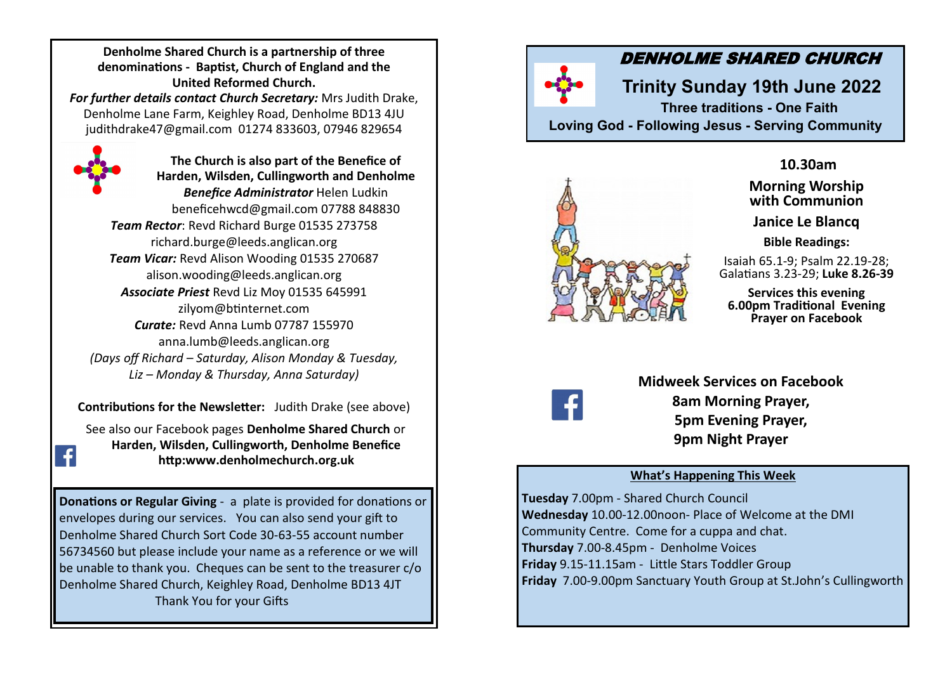**Denholme Shared Church is a partnership of three denominations - Baptist, Church of England and the United Reformed Church.** 

*For further details contact Church Secretary:* Mrs Judith Drake, Denholme Lane Farm, Keighley Road, Denholme BD13 4JU judithdrake47@gmail.com 01274 833603, 07946 829654



**The Church is also part of the Benefice of Harden, Wilsden, Cullingworth and Denholme**  *Benefice Administrator* Helen Ludkin beneficehwcd@gmail.com 07788 848830 *Team Rector*: Revd Richard Burge 01535 273758 richard.burge@leeds.anglican.org *Team Vicar:* Revd Alison Wooding 01535 270687 alison.wooding@leeds.anglican.org *Associate Priest* Revd Liz Moy 01535 645991 zilyom@btinternet.com *Curate:* Revd Anna Lumb 07787 155970 anna.lumb@leeds.anglican.org *(Days off Richard – Saturday, Alison Monday & Tuesday, Liz – Monday & Thursday, Anna Saturday)*

**Contributions for the Newsletter:** Judith Drake (see above)

See also our Facebook pages **Denholme Shared Church** or **Harden, Wilsden, Cullingworth, Denholme Benefice http:www.denholmechurch.org.uk**

**Donations or Regular Giving** - a plate is provided for donations or envelopes during our services. You can also send your gift to Denholme Shared Church Sort Code 30-63-55 account number 56734560 but please include your name as a reference or we will be unable to thank you. Cheques can be sent to the treasurer  $c/\sigma$ Denholme Shared Church, Keighley Road, Denholme BD13 4JT Thank You for your Gifts

# DENHOLME SHARED CHURCH

**Trinity Sunday 19th June 2022 Three traditions - One Faith** 

**Loving God - Following Jesus - Serving Community**



**10.30am** 

**Morning Worship with Communion**

**Janice Le Blancq**

**Bible Readings:**

Isaiah 65.1-9; Psalm 22.19-28; Galatians 3.23-29; **Luke 8.26-39**

**Services this evening 6.00pm Traditional Evening Prayer on Facebook**



**Midweek Services on Facebook 8am Morning Prayer, 5pm Evening Prayer, 9pm Night Prayer**

### **What's Happening This Week**

**Tuesday** 7.00pm - Shared Church Council **Wednesday** 10.00-12.00noon- Place of Welcome at the DMI Community Centre. Come for a cuppa and chat. **Thursday** 7.00-8.45pm - Denholme Voices **Friday** 9.15-11.15am - Little Stars Toddler Group **Friday** 7.00-9.00pm Sanctuary Youth Group at St.John's Cullingworth